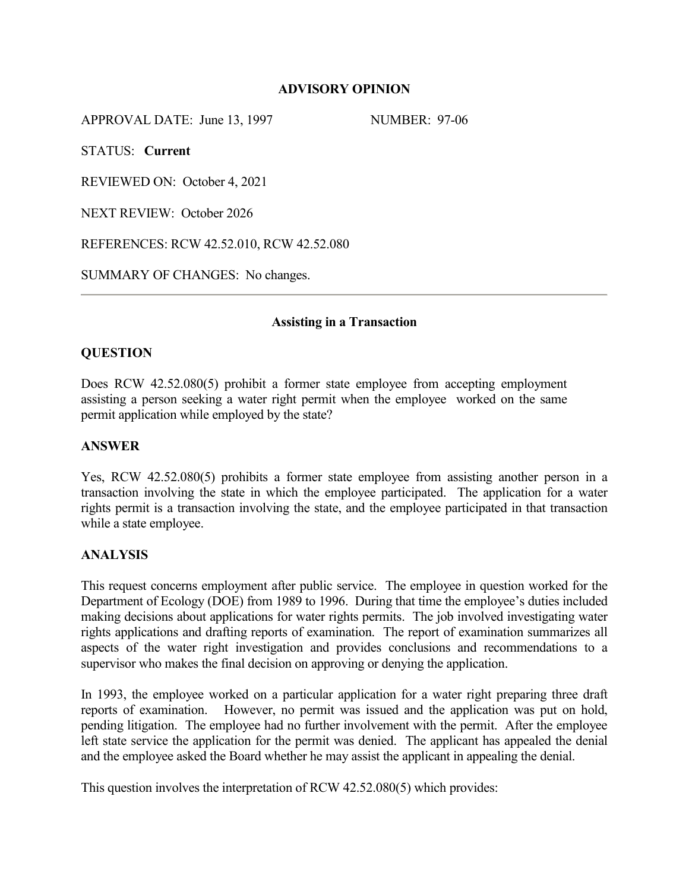# **ADVISORY OPINION**

APPROVAL DATE: June 13, 1997 NUMBER: 97-06

STATUS: **Current**

REVIEWED ON: October 4, 2021

NEXT REVIEW: October 2026

REFERENCES: RCW 42.52.010, RCW 42.52.080

SUMMARY OF CHANGES: No changes.

#### **Assisting in a Transaction**

# **QUESTION**

Does RCW 42.52.080(5) prohibit a former state employee from accepting employment assisting a person seeking a water right permit when the employee worked on the same permit application while employed by the state?

### **ANSWER**

Yes, RCW 42.52.080(5) prohibits a former state employee from assisting another person in a transaction involving the state in which the employee participated. The application for a water rights permit is a transaction involving the state, and the employee participated in that transaction while a state employee.

### **ANALYSIS**

This request concerns employment after public service. The employee in question worked for the Department of Ecology (DOE) from 1989 to 1996. During that time the employee's duties included making decisions about applications for water rights permits. The job involved investigating water rights applications and drafting reports of examination. The report of examination summarizes all aspects of the water right investigation and provides conclusions and recommendations to a supervisor who makes the final decision on approving or denying the application.

In 1993, the employee worked on a particular application for a water right preparing three draft reports of examination. However, no permit was issued and the application was put on hold, pending litigation. The employee had no further involvement with the permit. After the employee left state service the application for the permit was denied. The applicant has appealed the denial and the employee asked the Board whether he may assist the applicant in appealing the denial.

This question involves the interpretation of RCW 42.52.080(5) which provides: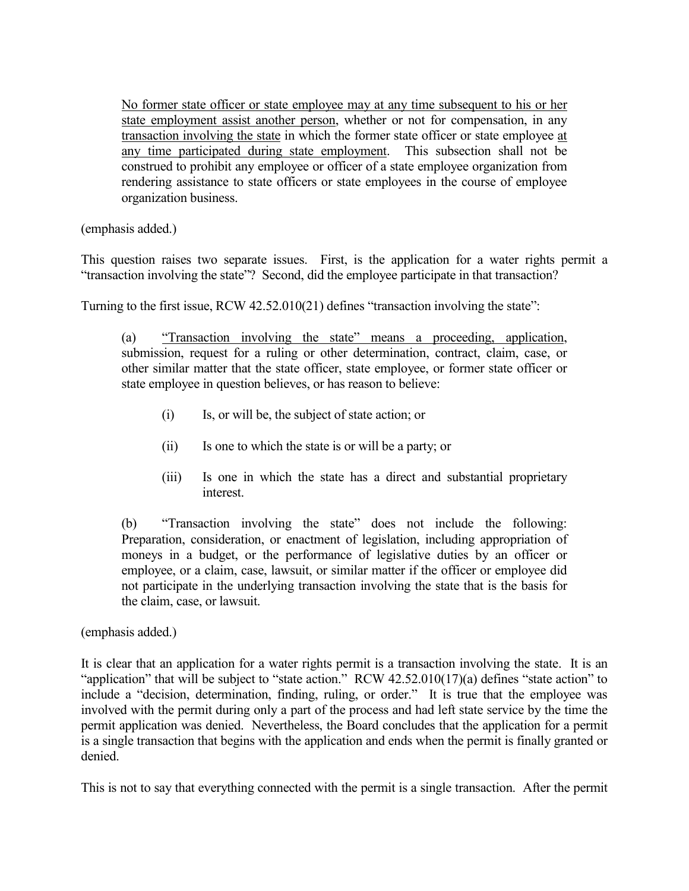No former state officer or state employee may at any time subsequent to his or her state employment assist another person, whether or not for compensation, in any transaction involving the state in which the former state officer or state employee at any time participated during state employment. This subsection shall not be construed to prohibit any employee or officer of a state employee organization from rendering assistance to state officers or state employees in the course of employee organization business.

(emphasis added.)

This question raises two separate issues. First, is the application for a water rights permit a "transaction involving the state"? Second, did the employee participate in that transaction?

Turning to the first issue, RCW 42.52.010(21) defines "transaction involving the state":

(a) "Transaction involving the state" means a proceeding, application, submission, request for a ruling or other determination, contract, claim, case, or other similar matter that the state officer, state employee, or former state officer or state employee in question believes, or has reason to believe:

- (i) Is, or will be, the subject of state action; or
- (ii) Is one to which the state is or will be a party; or
- (iii) Is one in which the state has a direct and substantial proprietary interest.

(b) "Transaction involving the state" does not include the following: Preparation, consideration, or enactment of legislation, including appropriation of moneys in a budget, or the performance of legislative duties by an officer or employee, or a claim, case, lawsuit, or similar matter if the officer or employee did not participate in the underlying transaction involving the state that is the basis for the claim, case, or lawsuit.

(emphasis added.)

It is clear that an application for a water rights permit is a transaction involving the state. It is an "application" that will be subject to "state action." RCW 42.52.010(17)(a) defines "state action" to include a "decision, determination, finding, ruling, or order." It is true that the employee was involved with the permit during only a part of the process and had left state service by the time the permit application was denied. Nevertheless, the Board concludes that the application for a permit is a single transaction that begins with the application and ends when the permit is finally granted or denied.

This is not to say that everything connected with the permit is a single transaction. After the permit